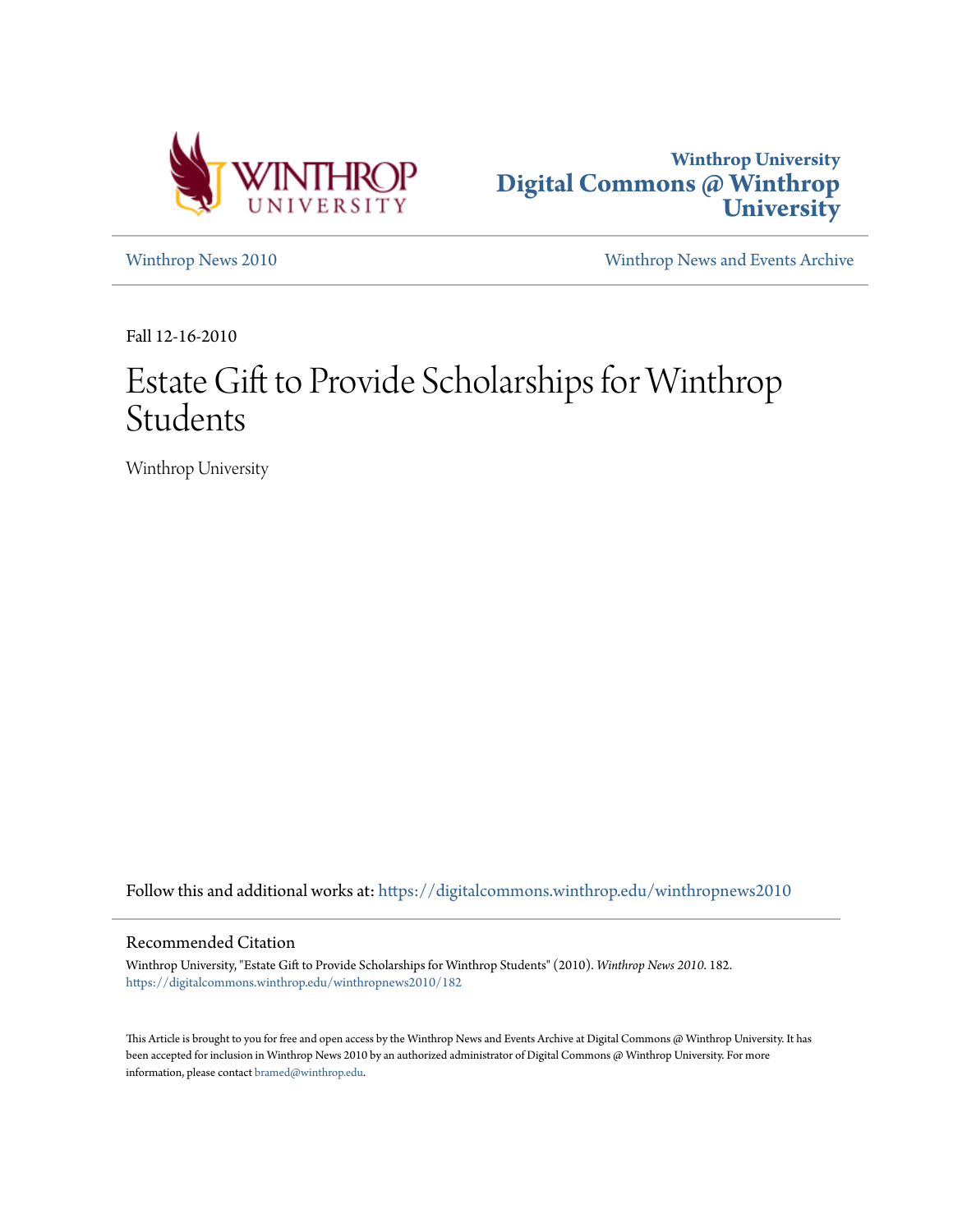



[Winthrop News 2010](https://digitalcommons.winthrop.edu/winthropnews2010?utm_source=digitalcommons.winthrop.edu%2Fwinthropnews2010%2F182&utm_medium=PDF&utm_campaign=PDFCoverPages) [Winthrop News and Events Archive](https://digitalcommons.winthrop.edu/winthropnewsarchives?utm_source=digitalcommons.winthrop.edu%2Fwinthropnews2010%2F182&utm_medium=PDF&utm_campaign=PDFCoverPages)

Fall 12-16-2010

## Estate Gift to Provide Scholarships for Winthrop Students

Winthrop University

Follow this and additional works at: [https://digitalcommons.winthrop.edu/winthropnews2010](https://digitalcommons.winthrop.edu/winthropnews2010?utm_source=digitalcommons.winthrop.edu%2Fwinthropnews2010%2F182&utm_medium=PDF&utm_campaign=PDFCoverPages)

## Recommended Citation

Winthrop University, "Estate Gift to Provide Scholarships for Winthrop Students" (2010). *Winthrop News 2010*. 182. [https://digitalcommons.winthrop.edu/winthropnews2010/182](https://digitalcommons.winthrop.edu/winthropnews2010/182?utm_source=digitalcommons.winthrop.edu%2Fwinthropnews2010%2F182&utm_medium=PDF&utm_campaign=PDFCoverPages)

This Article is brought to you for free and open access by the Winthrop News and Events Archive at Digital Commons @ Winthrop University. It has been accepted for inclusion in Winthrop News 2010 by an authorized administrator of Digital Commons @ Winthrop University. For more information, please contact [bramed@winthrop.edu](mailto:bramed@winthrop.edu).